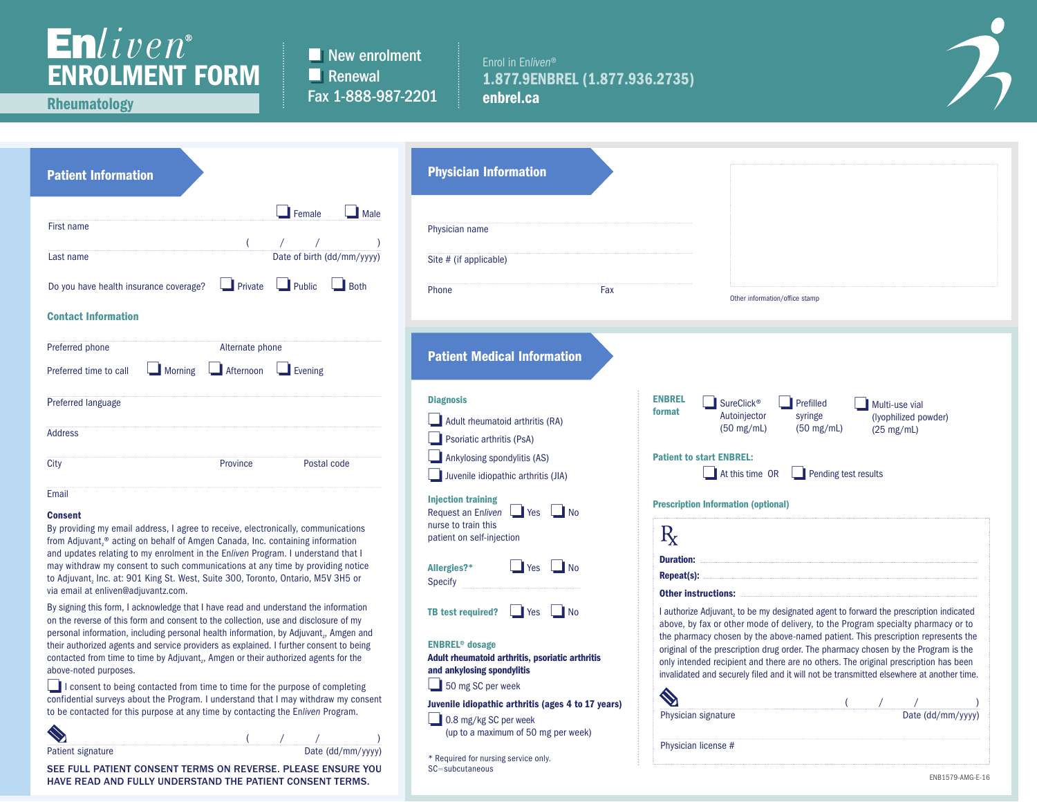## Enliven<sup>®</sup><br>ENROLMENT FORM

New enrolment **Renewal** Fax 1-888-987-2201

## Enrol in En*liven*® 1.877.9ENBREL (1.877.936.2735) enbrel.ca



Rheumatology

| <b>Patient Information</b>                                                                                                                                                                                                                                                                                                                                   | <b>Physician Information</b>                                                                                                             |  |  |  |
|--------------------------------------------------------------------------------------------------------------------------------------------------------------------------------------------------------------------------------------------------------------------------------------------------------------------------------------------------------------|------------------------------------------------------------------------------------------------------------------------------------------|--|--|--|
| $\blacksquare$ Female<br>$\Box$ Male<br><b>First name</b><br>$\overline{(}$                                                                                                                                                                                                                                                                                  | Physician name                                                                                                                           |  |  |  |
| Date of birth (dd/mm/yyyy)<br>Last name                                                                                                                                                                                                                                                                                                                      | Site # (if applicable)                                                                                                                   |  |  |  |
| Private<br>$\blacksquare$ Public<br>Do you have health insurance coverage?<br><b>Both</b>                                                                                                                                                                                                                                                                    | Phone<br>Fax                                                                                                                             |  |  |  |
| <b>Contact Information</b>                                                                                                                                                                                                                                                                                                                                   |                                                                                                                                          |  |  |  |
| Preferred phone<br>Alternate phone                                                                                                                                                                                                                                                                                                                           | <b>Patient Medical Information</b>                                                                                                       |  |  |  |
| $\overline{\phantom{a}}$ Afternoon<br>Morning<br>$\blacksquare$ Evening<br>Preferred time to call                                                                                                                                                                                                                                                            |                                                                                                                                          |  |  |  |
| Preferred language                                                                                                                                                                                                                                                                                                                                           | <b>Diagnosis</b>                                                                                                                         |  |  |  |
| <b>Address</b>                                                                                                                                                                                                                                                                                                                                               | Adult rheumatoid arthritis (RA)<br>Psoriatic arthritis (PsA)                                                                             |  |  |  |
| Province<br>Postal code<br>City                                                                                                                                                                                                                                                                                                                              | Ankylosing spondylitis (AS)<br>Juvenile idiopathic arthritis (JIA)                                                                       |  |  |  |
| Email<br><b>Consent</b><br>By providing my email address, I agree to receive, electronically, communications<br>from Adjuvant, <sup>®</sup> acting on behalf of Amgen Canada, Inc. containing information                                                                                                                                                    | <b>Injection training</b><br>$\blacksquare$ No<br>Request an Enliven<br><b>I</b> Yes<br>nurse to train this<br>patient on self-injection |  |  |  |
| and updates relating to my enrolment in the Enliven Program. I understand that I<br>may withdraw my consent to such communications at any time by providing notice<br>to Adjuvant, Inc. at: 901 King St. West, Suite 300, Toronto, Ontario, M5V 3H5 or<br>via email at enliven@adjuvantz.com.                                                                | l No<br>Allergies?*<br>Yes<br><b>Specify</b>                                                                                             |  |  |  |
| By signing this form, I acknowledge that I have read and understand the information<br>on the reverse of this form and consent to the collection, use and disclosure of my<br>personal information, including personal health information, by Adjuvant,, Amgen and<br>their authorized agents and service providers as explained. I further consent to being | <b>TB test required?</b><br>No<br>Yes<br><b>ENBREL<sup>®</sup></b> dosage                                                                |  |  |  |
| contacted from time to time by Adjuvant,, Amgen or their authorized agents for the<br>above-noted purposes.                                                                                                                                                                                                                                                  | Adult rheumatoid arthritis, psoriatic arthritis<br>and ankylosing spondylitis                                                            |  |  |  |
| I consent to being contacted from time to time for the purpose of completing                                                                                                                                                                                                                                                                                 | $\frac{1}{2}$ 50 mg SC per week                                                                                                          |  |  |  |
| confidential surveys about the Program. I understand that I may withdraw my consent<br>to be contacted for this purpose at any time by contacting the Enliven Program.                                                                                                                                                                                       | Juvenile idiopathic arthritis (ages 4 to 17 years)                                                                                       |  |  |  |
|                                                                                                                                                                                                                                                                                                                                                              | 0.8 mg/kg SC per week<br>(up to a maximum of 50 mg per week)                                                                             |  |  |  |
| Date (dd/mm/yyyy)<br><b>Patient signature</b>                                                                                                                                                                                                                                                                                                                | * Required for nursing service only.                                                                                                     |  |  |  |

| <b>Fauelli</b> Signature                                     | $\mu$ ale (uu/iiiiii/ yyyy) | * Required for nurs |
|--------------------------------------------------------------|-----------------------------|---------------------|
| SEE FULL PATIENT CONSENT TERMS ON REVERSE. PLEASE ENSURE YOU |                             | $SC = subcutaneous$ |
| HAVE READ AND FULLY UNDERSTAND THE PATIENT CONSENT TERMS.    |                             |                     |

|                         | Other information/office stamp                                                                                                                                                                                                                                                                                                                                                                                                                                                                                                         |                                              |                                        |                      |  |
|-------------------------|----------------------------------------------------------------------------------------------------------------------------------------------------------------------------------------------------------------------------------------------------------------------------------------------------------------------------------------------------------------------------------------------------------------------------------------------------------------------------------------------------------------------------------------|----------------------------------------------|----------------------------------------|----------------------|--|
|                         |                                                                                                                                                                                                                                                                                                                                                                                                                                                                                                                                        |                                              |                                        |                      |  |
|                         |                                                                                                                                                                                                                                                                                                                                                                                                                                                                                                                                        |                                              |                                        |                      |  |
| <b>ENBREL</b><br>format | <b>SureClick<sup>®</sup></b><br>Autoinjector<br>$(50 \text{ mg/mL})$                                                                                                                                                                                                                                                                                                                                                                                                                                                                   | Prefilled<br>syringe<br>$(50 \text{ mg/mL})$ | Multi-use vial<br>$(25 \text{ mg/mL})$ | (lyophilized powder) |  |
|                         | <b>Patient to start ENBREL:</b>                                                                                                                                                                                                                                                                                                                                                                                                                                                                                                        |                                              |                                        |                      |  |
|                         | At this time $OR$                                                                                                                                                                                                                                                                                                                                                                                                                                                                                                                      | $\Box$ Pending test results                  |                                        |                      |  |
|                         | <b>Prescription Information (optional)</b>                                                                                                                                                                                                                                                                                                                                                                                                                                                                                             |                                              |                                        |                      |  |
| $\rm R$                 |                                                                                                                                                                                                                                                                                                                                                                                                                                                                                                                                        |                                              |                                        |                      |  |
|                         |                                                                                                                                                                                                                                                                                                                                                                                                                                                                                                                                        |                                              |                                        |                      |  |
|                         |                                                                                                                                                                                                                                                                                                                                                                                                                                                                                                                                        |                                              |                                        |                      |  |
|                         | <b>Other instructions: </b>                                                                                                                                                                                                                                                                                                                                                                                                                                                                                                            |                                              |                                        |                      |  |
|                         |                                                                                                                                                                                                                                                                                                                                                                                                                                                                                                                                        |                                              |                                        |                      |  |
|                         | I authorize Adjuvant, to be my designated agent to forward the prescription indicated<br>above, by fax or other mode of delivery, to the Program specialty pharmacy or to<br>the pharmacy chosen by the above-named patient. This prescription represents the<br>original of the prescription drug order. The pharmacy chosen by the Program is the<br>only intended recipient and there are no others. The original prescription has been<br>invalidated and securely filed and it will not be transmitted elsewhere at another time. |                                              |                                        |                      |  |
|                         |                                                                                                                                                                                                                                                                                                                                                                                                                                                                                                                                        |                                              |                                        |                      |  |
|                         | Physician signature                                                                                                                                                                                                                                                                                                                                                                                                                                                                                                                    |                                              |                                        | Date (dd/mm/yyyy     |  |
|                         | Physician license #                                                                                                                                                                                                                                                                                                                                                                                                                                                                                                                    |                                              |                                        |                      |  |